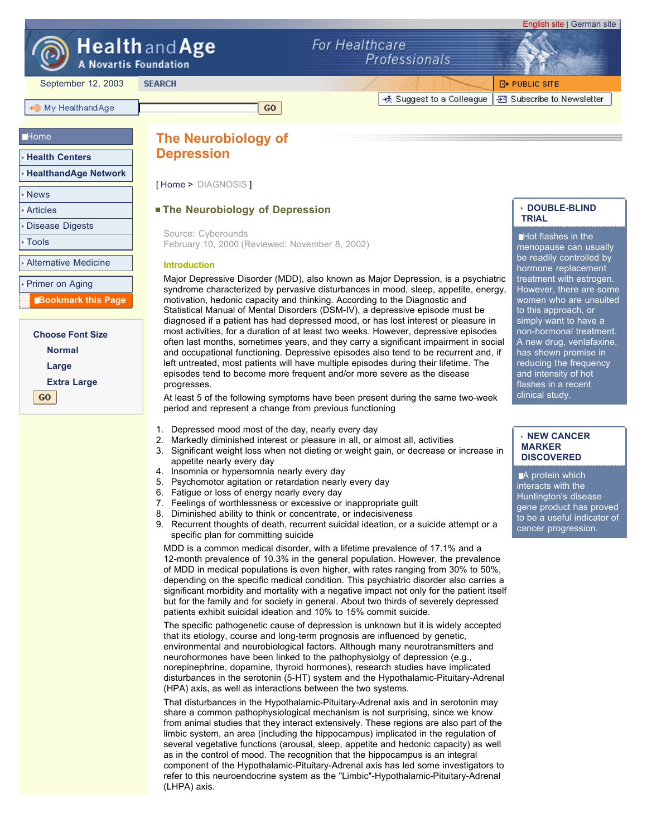

# Health and Age

**A Novartis Foundation** 

**SEARCH** 

September 12, 2003

# +⊚ My HealthandAge

## **Home**

- **Health Centers**
- **HealthandAge Network**
- News
- Articles

Disease Digests

Tools

Alternative Medicine

Primer on Aging

 **Bookmark this Page**

**Choose Font Size Normal Large Extra Large** GO.

For Healthcare

+ Suggest to a Colleague

Professionals

**E+ PUBLIC SITE** -B Subscribe to Newsletter

English site | German site

# **The Neurobiology of Depression**

[ Home > DIAGNOSIS ]

# **The Neurobiology of Depression**

February 10, 2000 (Reviewed: November 8, 2002) Source: Cyberounds

GO.

### **Introduction**

Major Depressive Disorder (MDD), also known as Major Depression, is a psychiatric syndrome characterized by pervasive disturbances in mood, sleep, appetite, energy, motivation, hedonic capacity and thinking. According to the Diagnostic and Statistical Manual of Mental Disorders (DSM-IV), a depressive episode must be diagnosed if a patient has had depressed mood, or has lost interest or pleasure in most activities, for a duration of at least two weeks. However, depressive episodes often last months, sometimes years, and they carry a significant impairment in social and occupational functioning. Depressive episodes also tend to be recurrent and, if left untreated, most patients will have multiple episodes during their lifetime. The episodes tend to become more frequent and/or more severe as the disease progresses.

At least 5 of the following symptoms have been present during the same two-week period and represent a change from previous functioning

- 1. Depressed mood most of the day, nearly every day
- 2. Markedly diminished interest or pleasure in all, or almost all, activities
- 3. Significant weight loss when not dieting or weight gain, or decrease or increase in appetite nearly every day
	- 4. Insomnia or hypersomnia nearly every day
	- 5. Psychomotor agitation or retardation nearly every day
	- 6. Fatigue or loss of energy nearly every day
	- 7. Feelings of worthlessness or excessive or inappropriate guilt
	- 8. Diminished ability to think or concentrate, or indecisiveness
	- 9. Recurrent thoughts of death, recurrent suicidal ideation, or a suicide attempt or a specific plan for committing suicide

MDD is a common medical disorder, with a lifetime prevalence of 17.1% and a 12-month prevalence of 10.3% in the general population. However, the prevalence of MDD in medical populations is even higher, with rates ranging from 30% to 50%, depending on the specific medical condition. This psychiatric disorder also carries a significant morbidity and mortality with a negative impact not only for the patient itself but for the family and for society in general. About two thirds of severely depressed patients exhibit suicidal ideation and 10% to 15% commit suicide.

The specific pathogenetic cause of depression is unknown but it is widely accepted that its etiology, course and long-term prognosis are influenced by genetic, environmental and neurobiological factors. Although many neurotransmitters and neurohormones have been linked to the pathophysiolgy of depression (e.g., norepinephrine, dopamine, thyroid hormones), research studies have implicated disturbances in the serotonin (5-HT) system and the Hypothalamic-Pituitary-Adrenal (HPA) axis, as well as interactions between the two systems.

That disturbances in the Hypothalamic-Pituitary-Adrenal axis and in serotonin may share a common pathophysiological mechanism is not surprising, since we know from animal studies that they interact extensively. These regions are also part of the limbic system, an area (including the hippocampus) implicated in the regulation of several vegetative functions (arousal, sleep, appetite and hedonic capacity) as well as in the control of mood. The recognition that the hippocampus is an integral component of the Hypothalamic-Pituitary-Adrenal axis has led some investigators to refer to this neuroendocrine system as the "Limbic"-Hypothalamic-Pituitary-Adrenal (LHPA) axis.

# **DOUBLE-BLIND TRIAL**

Hot flashes in the menopause can usually be readily controlled by hormone replacement treatment with estrogen. However, there are some women who are unsuited to this approach, or simply want to have a non-hormonal treatment. A new drug, venlafaxine, has shown promise in reducing the frequency and intensity of hot flashes in a recent clinical study.

#### **NEW CANCER MARKER DISCOVERED**

A protein which interacts with the Huntington's disease gene product has proved to be a useful indicator of cancer progression.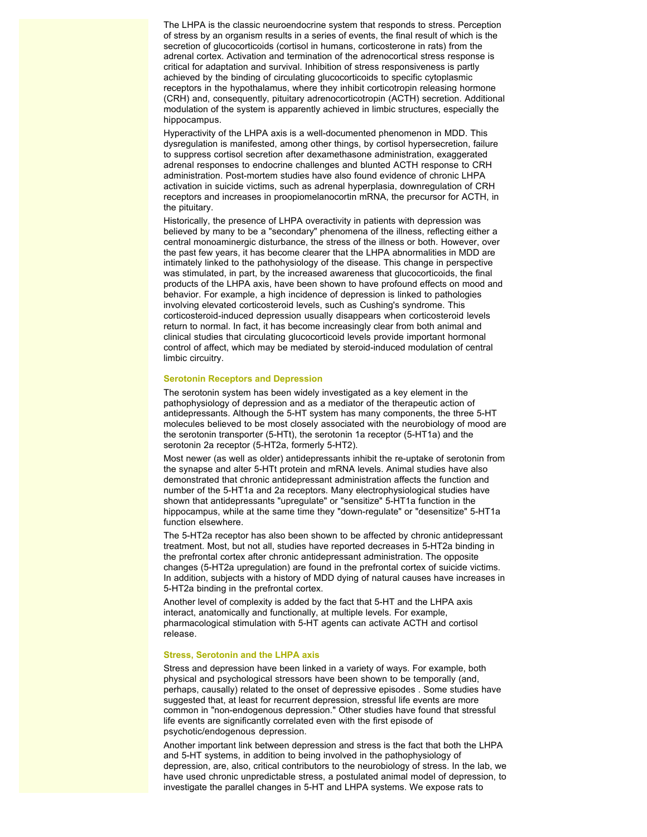The LHPA is the classic neuroendocrine system that responds to stress. Perception of stress by an organism results in a series of events, the final result of which is the secretion of glucocorticoids (cortisol in humans, corticosterone in rats) from the adrenal cortex. Activation and termination of the adrenocortical stress response is critical for adaptation and survival. Inhibition of stress responsiveness is partly achieved by the binding of circulating glucocorticoids to specific cytoplasmic receptors in the hypothalamus, where they inhibit corticotropin releasing hormone (CRH) and, consequently, pituitary adrenocorticotropin (ACTH) secretion. Additional modulation of the system is apparently achieved in limbic structures, especially the hippocampus.

Hyperactivity of the LHPA axis is a well-documented phenomenon in MDD. This dysregulation is manifested, among other things, by cortisol hypersecretion, failure to suppress cortisol secretion after dexamethasone administration, exaggerated adrenal responses to endocrine challenges and blunted ACTH response to CRH administration. Post-mortem studies have also found evidence of chronic LHPA activation in suicide victims, such as adrenal hyperplasia, downregulation of CRH receptors and increases in proopiomelanocortin mRNA, the precursor for ACTH, in the pituitary.

Historically, the presence of LHPA overactivity in patients with depression was believed by many to be a "secondary" phenomena of the illness, reflecting either a central monoaminergic disturbance, the stress of the illness or both. However, over the past few years, it has become clearer that the LHPA abnormalities in MDD are intimately linked to the pathohysiology of the disease. This change in perspective was stimulated, in part, by the increased awareness that glucocorticoids, the final products of the LHPA axis, have been shown to have profound effects on mood and behavior. For example, a high incidence of depression is linked to pathologies involving elevated corticosteroid levels, such as Cushing's syndrome. This corticosteroid-induced depression usually disappears when corticosteroid levels return to normal. In fact, it has become increasingly clear from both animal and clinical studies that circulating glucocorticoid levels provide important hormonal control of affect, which may be mediated by steroid-induced modulation of central limbic circuitry.

#### **Serotonin Receptors and Depression**

The serotonin system has been widely investigated as a key element in the pathophysiology of depression and as a mediator of the therapeutic action of antidepressants. Although the 5-HT system has many components, the three 5-HT molecules believed to be most closely associated with the neurobiology of mood are the serotonin transporter (5-HTt), the serotonin 1a receptor (5-HT1a) and the serotonin 2a receptor (5-HT2a, formerly 5-HT2).

Most newer (as well as older) antidepressants inhibit the re-uptake of serotonin from the synapse and alter 5-HTt protein and mRNA levels. Animal studies have also demonstrated that chronic antidepressant administration affects the function and number of the 5-HT1a and 2a receptors. Many electrophysiological studies have shown that antidepressants "upregulate" or "sensitize" 5-HT1a function in the hippocampus, while at the same time they "down-regulate" or "desensitize" 5-HT1a function elsewhere.

The 5-HT2a receptor has also been shown to be affected by chronic antidepressant treatment. Most, but not all, studies have reported decreases in 5-HT2a binding in the prefrontal cortex after chronic antidepressant administration. The opposite changes (5-HT2a upregulation) are found in the prefrontal cortex of suicide victims. In addition, subjects with a history of MDD dying of natural causes have increases in 5-HT2a binding in the prefrontal cortex.

Another level of complexity is added by the fact that 5-HT and the LHPA axis interact, anatomically and functionally, at multiple levels. For example, pharmacological stimulation with 5-HT agents can activate ACTH and cortisol release.

#### **Stress, Serotonin and the LHPA axis**

Stress and depression have been linked in a variety of ways. For example, both physical and psychological stressors have been shown to be temporally (and, perhaps, causally) related to the onset of depressive episodes . Some studies have suggested that, at least for recurrent depression, stressful life events are more common in "non-endogenous depression." Other studies have found that stressful life events are significantly correlated even with the first episode of psychotic/endogenous depression.

Another important link between depression and stress is the fact that both the LHPA and 5-HT systems, in addition to being involved in the pathophysiology of depression, are, also, critical contributors to the neurobiology of stress. In the lab, we have used chronic unpredictable stress, a postulated animal model of depression, to investigate the parallel changes in 5-HT and LHPA systems. We expose rats to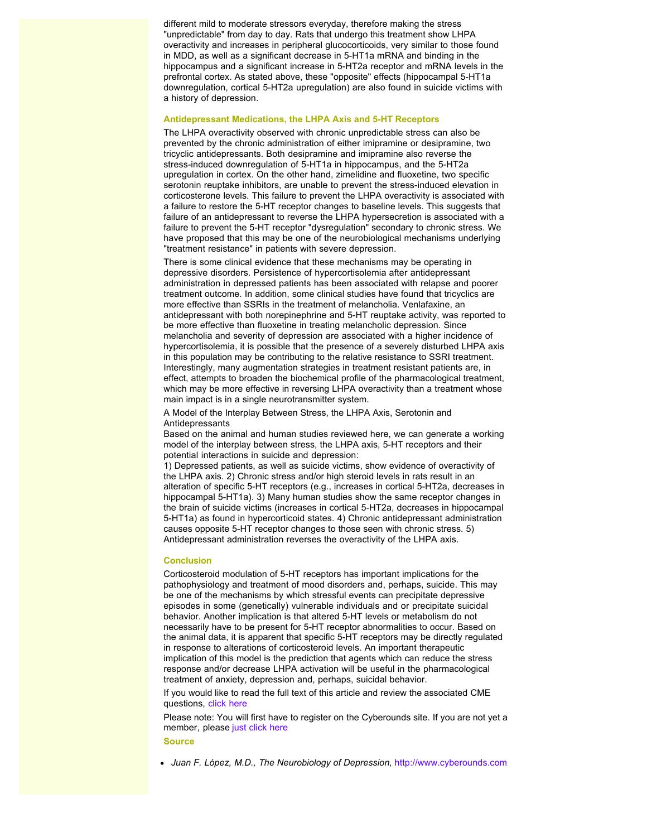different mild to moderate stressors everyday, therefore making the stress "unpredictable" from day to day. Rats that undergo this treatment show LHPA overactivity and increases in peripheral glucocorticoids, very similar to those found in MDD, as well as a significant decrease in 5-HT1a mRNA and binding in the hippocampus and a significant increase in 5-HT2a receptor and mRNA levels in the prefrontal cortex. As stated above, these "opposite" effects (hippocampal 5-HT1a downregulation, cortical 5-HT2a upregulation) are also found in suicide victims with a history of depression.

#### **Antidepressant Medications, the LHPA Axis and 5-HT Receptors**

The LHPA overactivity observed with chronic unpredictable stress can also be prevented by the chronic administration of either imipramine or desipramine, two tricyclic antidepressants. Both desipramine and imipramine also reverse the stress-induced downregulation of 5-HT1a in hippocampus, and the 5-HT2a upregulation in cortex. On the other hand, zimelidine and fluoxetine, two specific serotonin reuptake inhibitors, are unable to prevent the stress-induced elevation in corticosterone levels. This failure to prevent the LHPA overactivity is associated with a failure to restore the 5-HT receptor changes to baseline levels. This suggests that failure of an antidepressant to reverse the LHPA hypersecretion is associated with a failure to prevent the 5-HT receptor "dysregulation" secondary to chronic stress. We have proposed that this may be one of the neurobiological mechanisms underlying "treatment resistance" in patients with severe depression.

There is some clinical evidence that these mechanisms may be operating in depressive disorders. Persistence of hypercortisolemia after antidepressant administration in depressed patients has been associated with relapse and poorer treatment outcome. In addition, some clinical studies have found that tricyclics are more effective than SSRIs in the treatment of melancholia. Venlafaxine, an antidepressant with both norepinephrine and 5-HT reuptake activity, was reported to be more effective than fluoxetine in treating melancholic depression. Since melancholia and severity of depression are associated with a higher incidence of hypercortisolemia, it is possible that the presence of a severely disturbed LHPA axis in this population may be contributing to the relative resistance to SSRI treatment. Interestingly, many augmentation strategies in treatment resistant patients are, in effect, attempts to broaden the biochemical profile of the pharmacological treatment, which may be more effective in reversing LHPA overactivity than a treatment whose main impact is in a single neurotransmitter system.

A Model of the Interplay Between Stress, the LHPA Axis, Serotonin and Antidepressants

Based on the animal and human studies reviewed here, we can generate a working model of the interplay between stress, the LHPA axis, 5-HT receptors and their potential interactions in suicide and depression:

1) Depressed patients, as well as suicide victims, show evidence of overactivity of the LHPA axis. 2) Chronic stress and/or high steroid levels in rats result in an alteration of specific 5-HT receptors (e.g., increases in cortical 5-HT2a, decreases in hippocampal 5-HT1a). 3) Many human studies show the same receptor changes in the brain of suicide victims (increases in cortical 5-HT2a, decreases in hippocampal 5-HT1a) as found in hypercorticoid states. 4) Chronic antidepressant administration causes opposite 5-HT receptor changes to those seen with chronic stress. 5) Antidepressant administration reverses the overactivity of the LHPA axis.

#### **Conclusion**

Corticosteroid modulation of 5-HT receptors has important implications for the pathophysiology and treatment of mood disorders and, perhaps, suicide. This may be one of the mechanisms by which stressful events can precipitate depressive episodes in some (genetically) vulnerable individuals and or precipitate suicidal behavior. Another implication is that altered 5-HT levels or metabolism do not necessarily have to be present for 5-HT receptor abnormalities to occur. Based on the animal data, it is apparent that specific 5-HT receptors may be directly regulated in response to alterations of corticosteroid levels. An important therapeutic implication of this model is the prediction that agents which can reduce the stress response and/or decrease LHPA activation will be useful in the pharmacological treatment of anxiety, depression and, perhaps, suicidal behavior.

If you would like to read the full text of this article and review the associated CME questions, click here

Please note: You will first have to register on the Cyberounds site. If you are not yet a member, please just click here

#### **Source**

*Juan F. López, M.D., The Neurobiology of Depression,* http://www.cyberounds.com